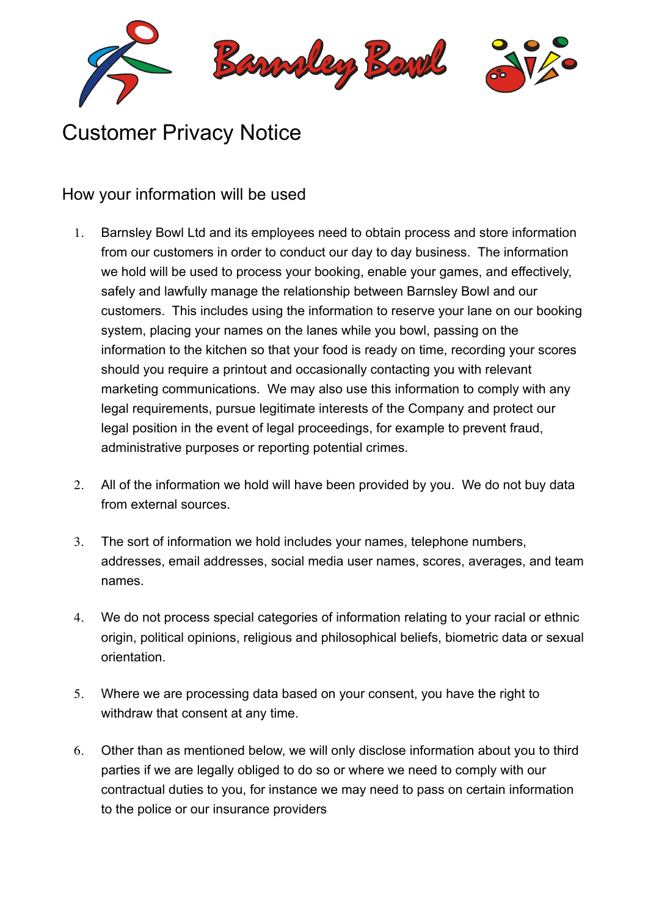

## Customer Privacy Notice

## How your information will be used

- 1. Barnsley Bowl Ltd and its employees need to obtain process and store information from our customers in order to conduct our day to day business. The information we hold will be used to process your booking, enable your games, and effectively, safely and lawfully manage the relationship between Barnsley Bowl and our customers. This includes using the information to reserve your lane on our booking system, placing your names on the lanes while you bowl, passing on the information to the kitchen so that your food is ready on time, recording your scores should you require a printout and occasionally contacting you with relevant marketing communications. We may also use this information to comply with any legal requirements, pursue legitimate interests of the Company and protect our legal position in the event of legal proceedings, for example to prevent fraud, administrative purposes or reporting potential crimes.
- 2. All of the information we hold will have been provided by you. We do not buy data from external sources.
- 3. The sort of information we hold includes your names, telephone numbers, addresses, email addresses, social media user names, scores, averages, and team names.
- 4. We do not process special categories of information relating to your racial or ethnic origin, political opinions, religious and philosophical beliefs, biometric data or sexual orientation.
- 5. Where we are processing data based on your consent, you have the right to withdraw that consent at any time.
- 6. Other than as mentioned below, we will only disclose information about you to third parties if we are legally obliged to do so or where we need to comply with our contractual duties to you, for instance we may need to pass on certain information to the police or our insurance providers